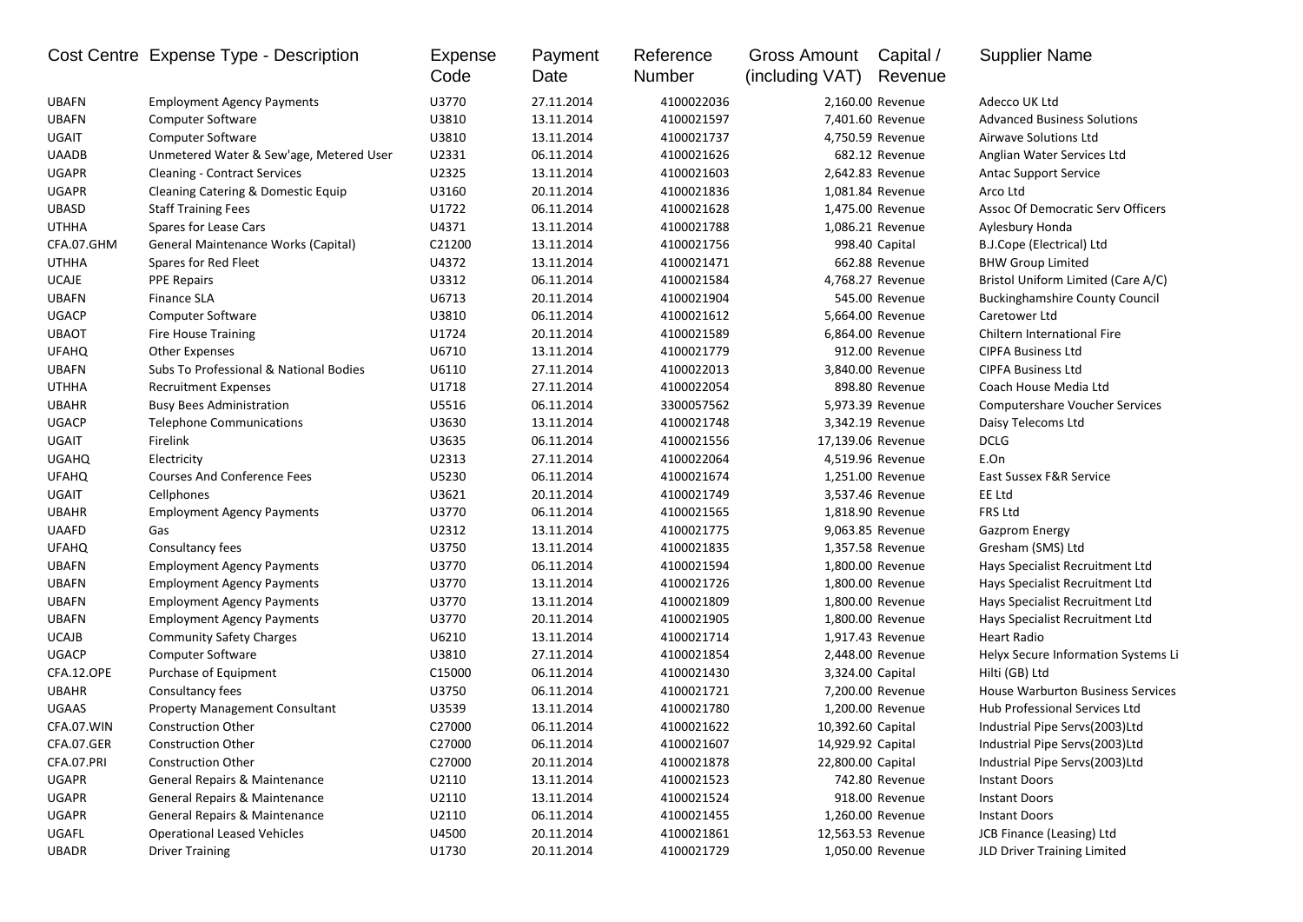|              | Cost Centre Expense Type - Description  | <b>Expense</b><br>Code | Payment<br>Date | Reference<br>Number | Gross Amount<br>(including VAT) | Capital /<br>Revenue | <b>Supplier Name</b>                     |
|--------------|-----------------------------------------|------------------------|-----------------|---------------------|---------------------------------|----------------------|------------------------------------------|
| <b>UBAFN</b> | <b>Employment Agency Payments</b>       | U3770                  | 27.11.2014      | 4100022036          |                                 | 2,160.00 Revenue     | Adecco UK Ltd                            |
| <b>UBAFN</b> | <b>Computer Software</b>                | U3810                  | 13.11.2014      | 4100021597          |                                 | 7,401.60 Revenue     | <b>Advanced Business Solutions</b>       |
| <b>UGAIT</b> | <b>Computer Software</b>                | U3810                  | 13.11.2014      | 4100021737          |                                 | 4,750.59 Revenue     | Airwave Solutions Ltd                    |
| <b>UAADB</b> | Unmetered Water & Sew'age, Metered User | U2331                  | 06.11.2014      | 4100021626          |                                 | 682.12 Revenue       | Anglian Water Services Ltd               |
| <b>UGAPR</b> | <b>Cleaning - Contract Services</b>     | U2325                  | 13.11.2014      | 4100021603          |                                 | 2,642.83 Revenue     | <b>Antac Support Service</b>             |
| <b>UGAPR</b> | Cleaning Catering & Domestic Equip      | U3160                  | 20.11.2014      | 4100021836          |                                 | 1,081.84 Revenue     | Arco Ltd                                 |
| <b>UBASD</b> | <b>Staff Training Fees</b>              | U1722                  | 06.11.2014      | 4100021628          |                                 | 1,475.00 Revenue     | <b>Assoc Of Democratic Serv Officers</b> |
| <b>UTHHA</b> | Spares for Lease Cars                   | U4371                  | 13.11.2014      | 4100021788          |                                 | 1,086.21 Revenue     | Aylesbury Honda                          |
| CFA.07.GHM   | General Maintenance Works (Capital)     | C21200                 | 13.11.2014      | 4100021756          |                                 | 998.40 Capital       | B.J.Cope (Electrical) Ltd                |
| <b>UTHHA</b> | Spares for Red Fleet                    | U4372                  | 13.11.2014      | 4100021471          |                                 | 662.88 Revenue       | <b>BHW Group Limited</b>                 |
| <b>UCAJE</b> | <b>PPE Repairs</b>                      | U3312                  | 06.11.2014      | 4100021584          |                                 | 4,768.27 Revenue     | Bristol Uniform Limited (Care A/C)       |
| <b>UBAFN</b> | <b>Finance SLA</b>                      | U6713                  | 20.11.2014      | 4100021904          |                                 | 545.00 Revenue       | <b>Buckinghamshire County Council</b>    |
| <b>UGACP</b> | <b>Computer Software</b>                | U3810                  | 06.11.2014      | 4100021612          |                                 | 5,664.00 Revenue     | Caretower Ltd                            |
| <b>UBAOT</b> | <b>Fire House Training</b>              | U1724                  | 20.11.2014      | 4100021589          |                                 | 6,864.00 Revenue     | Chiltern International Fire              |
| <b>UFAHQ</b> | <b>Other Expenses</b>                   | U6710                  | 13.11.2014      | 4100021779          |                                 | 912.00 Revenue       | <b>CIPFA Business Ltd</b>                |
| <b>UBAFN</b> | Subs To Professional & National Bodies  | U6110                  | 27.11.2014      | 4100022013          |                                 | 3,840.00 Revenue     | <b>CIPFA Business Ltd</b>                |
| <b>UTHHA</b> | <b>Recruitment Expenses</b>             | U1718                  | 27.11.2014      | 4100022054          |                                 | 898.80 Revenue       | Coach House Media Ltd                    |
| <b>UBAHR</b> | <b>Busy Bees Administration</b>         | U5516                  | 06.11.2014      | 3300057562          |                                 | 5,973.39 Revenue     | <b>Computershare Voucher Services</b>    |
| <b>UGACP</b> | <b>Telephone Communications</b>         | U3630                  | 13.11.2014      | 4100021748          |                                 | 3,342.19 Revenue     | Daisy Telecoms Ltd                       |
| <b>UGAIT</b> | Firelink                                | U3635                  | 06.11.2014      | 4100021556          |                                 | 17,139.06 Revenue    | <b>DCLG</b>                              |
| <b>UGAHQ</b> | Electricity                             | U2313                  | 27.11.2014      | 4100022064          |                                 | 4,519.96 Revenue     | E.On                                     |
| <b>UFAHQ</b> | <b>Courses And Conference Fees</b>      | U5230                  | 06.11.2014      | 4100021674          |                                 | 1,251.00 Revenue     | East Sussex F&R Service                  |
| <b>UGAIT</b> | Cellphones                              | U3621                  | 20.11.2014      | 4100021749          |                                 | 3,537.46 Revenue     | EE Ltd                                   |
| <b>UBAHR</b> | <b>Employment Agency Payments</b>       | U3770                  | 06.11.2014      | 4100021565          |                                 | 1,818.90 Revenue     | FRS Ltd                                  |
| <b>UAAFD</b> | Gas                                     | U2312                  | 13.11.2014      | 4100021775          |                                 | 9,063.85 Revenue     | <b>Gazprom Energy</b>                    |
| <b>UFAHQ</b> | Consultancy fees                        | U3750                  | 13.11.2014      | 4100021835          |                                 | 1,357.58 Revenue     | Gresham (SMS) Ltd                        |
| <b>UBAFN</b> | <b>Employment Agency Payments</b>       | U3770                  | 06.11.2014      | 4100021594          |                                 | 1,800.00 Revenue     | Hays Specialist Recruitment Ltd          |
| <b>UBAFN</b> | <b>Employment Agency Payments</b>       | U3770                  | 13.11.2014      | 4100021726          |                                 | 1,800.00 Revenue     | Hays Specialist Recruitment Ltd          |
| <b>UBAFN</b> | <b>Employment Agency Payments</b>       | U3770                  | 13.11.2014      | 4100021809          |                                 | 1,800.00 Revenue     | Hays Specialist Recruitment Ltd          |
| <b>UBAFN</b> | <b>Employment Agency Payments</b>       | U3770                  | 20.11.2014      | 4100021905          |                                 | 1,800.00 Revenue     | Hays Specialist Recruitment Ltd          |
| <b>UCAJB</b> | <b>Community Safety Charges</b>         | U6210                  | 13.11.2014      | 4100021714          |                                 | 1,917.43 Revenue     | <b>Heart Radio</b>                       |
| <b>UGACP</b> | Computer Software                       | U3810                  | 27.11.2014      | 4100021854          |                                 | 2,448.00 Revenue     | Helyx Secure Information Systems Li      |
| CFA.12.OPE   | Purchase of Equipment                   | C15000                 | 06.11.2014      | 4100021430          | 3,324.00 Capital                |                      | Hilti (GB) Ltd                           |
| <b>UBAHR</b> | Consultancy fees                        | U3750                  | 06.11.2014      | 4100021721          |                                 | 7,200.00 Revenue     | <b>House Warburton Business Services</b> |
| <b>UGAAS</b> | <b>Property Management Consultant</b>   | U3539                  | 13.11.2014      | 4100021780          |                                 | 1,200.00 Revenue     | Hub Professional Services Ltd            |
| CFA.07.WIN   | <b>Construction Other</b>               | C27000                 | 06.11.2014      | 4100021622          | 10,392.60 Capital               |                      | Industrial Pipe Servs(2003)Ltd           |
| CFA.07.GER   | Construction Other                      | C27000                 | 06.11.2014      | 4100021607          | 14,929.92 Capital               |                      | Industrial Pipe Servs(2003)Ltd           |
| CFA.07.PRI   | <b>Construction Other</b>               | C27000                 | 20.11.2014      | 4100021878          | 22,800.00 Capital               |                      | Industrial Pipe Servs(2003)Ltd           |
| <b>UGAPR</b> | General Repairs & Maintenance           | U2110                  | 13.11.2014      | 4100021523          |                                 | 742.80 Revenue       | <b>Instant Doors</b>                     |
| <b>UGAPR</b> | General Repairs & Maintenance           | U2110                  | 13.11.2014      | 4100021524          |                                 | 918.00 Revenue       | <b>Instant Doors</b>                     |
| UGAPR        | General Repairs & Maintenance           | U2110                  | 06.11.2014      | 4100021455          |                                 | 1,260.00 Revenue     | <b>Instant Doors</b>                     |
| UGAFL        | <b>Operational Leased Vehicles</b>      | U4500                  | 20.11.2014      | 4100021861          |                                 | 12,563.53 Revenue    | JCB Finance (Leasing) Ltd                |
| UBADR        | <b>Driver Training</b>                  | U1730                  | 20.11.2014      | 4100021729          |                                 | 1,050.00 Revenue     | JLD Driver Training Limited              |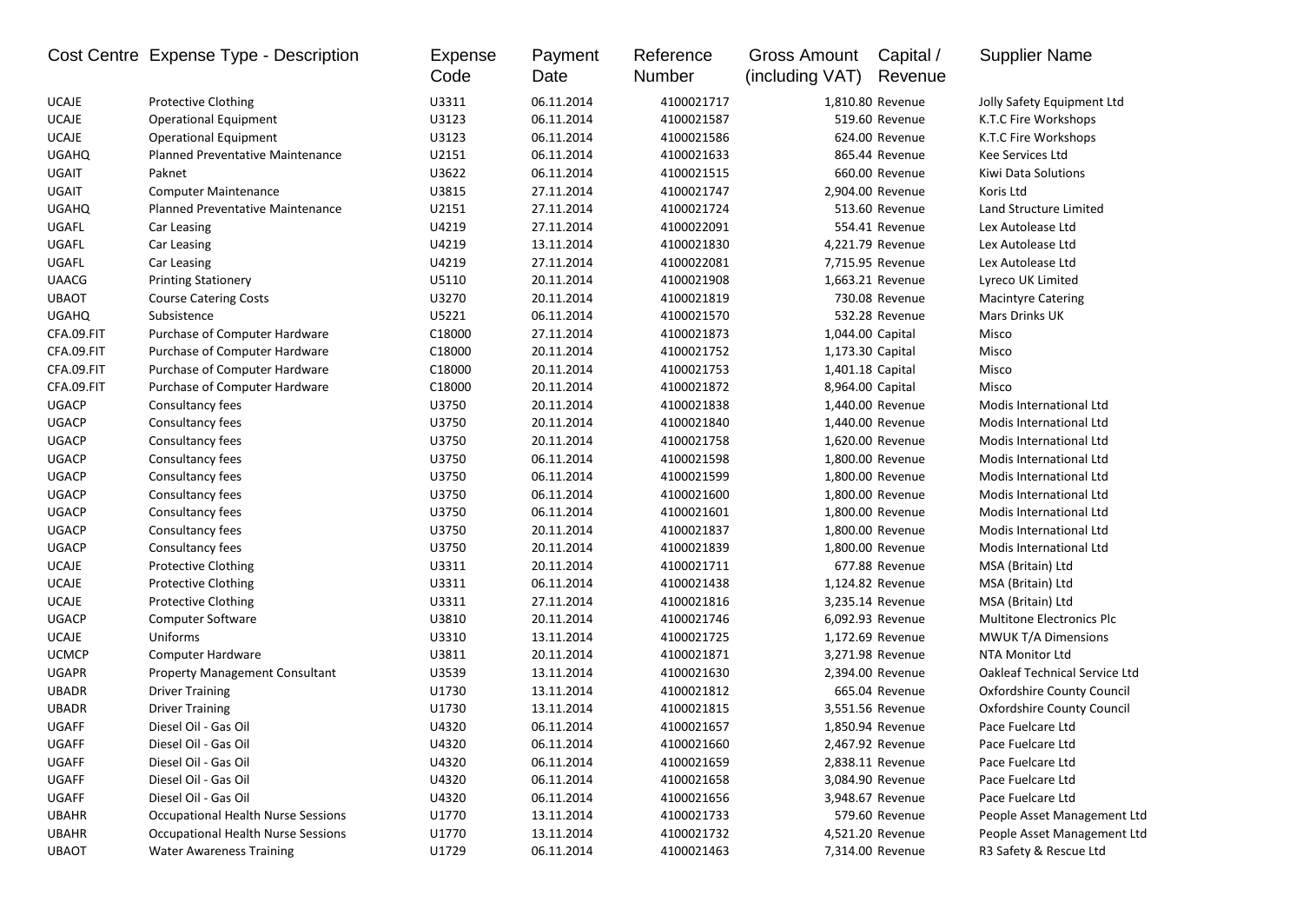|              | Cost Centre Expense Type - Description    | <b>Expense</b><br>Code | Payment<br>Date | Reference<br>Number | Gross Amount<br>(including VAT) | Capital /<br>Revenue | <b>Supplier Name</b>                 |
|--------------|-------------------------------------------|------------------------|-----------------|---------------------|---------------------------------|----------------------|--------------------------------------|
| <b>UCAJE</b> | Protective Clothing                       | U3311                  | 06.11.2014      | 4100021717          |                                 | 1,810.80 Revenue     | Jolly Safety Equipment Ltd           |
| <b>UCAJE</b> | <b>Operational Equipment</b>              | U3123                  | 06.11.2014      | 4100021587          |                                 | 519.60 Revenue       | K.T.C Fire Workshops                 |
| <b>UCAJE</b> | <b>Operational Equipment</b>              | U3123                  | 06.11.2014      | 4100021586          |                                 | 624.00 Revenue       | K.T.C Fire Workshops                 |
| <b>UGAHQ</b> | <b>Planned Preventative Maintenance</b>   | U2151                  | 06.11.2014      | 4100021633          |                                 | 865.44 Revenue       | Kee Services Ltd                     |
| UGAIT        | Paknet                                    | U3622                  | 06.11.2014      | 4100021515          |                                 | 660.00 Revenue       | Kiwi Data Solutions                  |
| <b>UGAIT</b> | <b>Computer Maintenance</b>               | U3815                  | 27.11.2014      | 4100021747          |                                 | 2,904.00 Revenue     | Koris Ltd                            |
| <b>UGAHQ</b> | <b>Planned Preventative Maintenance</b>   | U2151                  | 27.11.2014      | 4100021724          |                                 | 513.60 Revenue       | Land Structure Limited               |
| UGAFL        | Car Leasing                               | U4219                  | 27.11.2014      | 4100022091          |                                 | 554.41 Revenue       | Lex Autolease Ltd                    |
| UGAFL        | Car Leasing                               | U4219                  | 13.11.2014      | 4100021830          |                                 | 4,221.79 Revenue     | Lex Autolease Ltd                    |
| UGAFL        | Car Leasing                               | U4219                  | 27.11.2014      | 4100022081          |                                 | 7,715.95 Revenue     | Lex Autolease Ltd                    |
| <b>UAACG</b> | <b>Printing Stationery</b>                | U5110                  | 20.11.2014      | 4100021908          |                                 | 1,663.21 Revenue     | Lyreco UK Limited                    |
| <b>UBAOT</b> | <b>Course Catering Costs</b>              | U3270                  | 20.11.2014      | 4100021819          |                                 | 730.08 Revenue       | <b>Macintyre Catering</b>            |
| <b>UGAHQ</b> | Subsistence                               | U5221                  | 06.11.2014      | 4100021570          |                                 | 532.28 Revenue       | Mars Drinks UK                       |
| CFA.09.FIT   | Purchase of Computer Hardware             | C18000                 | 27.11.2014      | 4100021873          | 1,044.00 Capital                |                      | Misco                                |
| CFA.09.FIT   | Purchase of Computer Hardware             | C18000                 | 20.11.2014      | 4100021752          |                                 | 1,173.30 Capital     | Misco                                |
| CFA.09.FIT   | Purchase of Computer Hardware             | C18000                 | 20.11.2014      | 4100021753          |                                 | 1,401.18 Capital     | Misco                                |
| CFA.09.FIT   | Purchase of Computer Hardware             | C18000                 | 20.11.2014      | 4100021872          |                                 | 8,964.00 Capital     | Misco                                |
| <b>UGACP</b> | Consultancy fees                          | U3750                  | 20.11.2014      | 4100021838          |                                 | 1,440.00 Revenue     | Modis International Ltd              |
| <b>UGACP</b> | Consultancy fees                          | U3750                  | 20.11.2014      | 4100021840          |                                 | 1,440.00 Revenue     | Modis International Ltd              |
| <b>UGACP</b> | Consultancy fees                          | U3750                  | 20.11.2014      | 4100021758          |                                 | 1,620.00 Revenue     | Modis International Ltd              |
| <b>UGACP</b> | Consultancy fees                          | U3750                  | 06.11.2014      | 4100021598          |                                 | 1,800.00 Revenue     | Modis International Ltd              |
| <b>UGACP</b> | Consultancy fees                          | U3750                  | 06.11.2014      | 4100021599          |                                 | 1,800.00 Revenue     | Modis International Ltd              |
| <b>UGACP</b> | Consultancy fees                          | U3750                  | 06.11.2014      | 4100021600          |                                 | 1,800.00 Revenue     | Modis International Ltd              |
| <b>UGACP</b> | Consultancy fees                          | U3750                  | 06.11.2014      | 4100021601          |                                 | 1,800.00 Revenue     | Modis International Ltd              |
| <b>UGACP</b> | Consultancy fees                          | U3750                  | 20.11.2014      | 4100021837          |                                 | 1,800.00 Revenue     | Modis International Ltd              |
| <b>UGACP</b> | Consultancy fees                          | U3750                  | 20.11.2014      | 4100021839          |                                 | 1,800.00 Revenue     | Modis International Ltd              |
| <b>UCAJE</b> | <b>Protective Clothing</b>                | U3311                  | 20.11.2014      | 4100021711          |                                 | 677.88 Revenue       | MSA (Britain) Ltd                    |
| <b>UCAJE</b> | Protective Clothing                       | U3311                  | 06.11.2014      | 4100021438          |                                 | 1,124.82 Revenue     | MSA (Britain) Ltd                    |
| <b>UCAJE</b> | Protective Clothing                       | U3311                  | 27.11.2014      | 4100021816          |                                 | 3,235.14 Revenue     | MSA (Britain) Ltd                    |
| <b>UGACP</b> | <b>Computer Software</b>                  | U3810                  | 20.11.2014      | 4100021746          |                                 | 6,092.93 Revenue     | <b>Multitone Electronics Plc</b>     |
| <b>UCAJE</b> | Uniforms                                  | U3310                  | 13.11.2014      | 4100021725          |                                 | 1,172.69 Revenue     | <b>MWUK T/A Dimensions</b>           |
| <b>UCMCP</b> | Computer Hardware                         | U3811                  | 20.11.2014      | 4100021871          |                                 | 3,271.98 Revenue     | NTA Monitor Ltd                      |
| <b>UGAPR</b> | <b>Property Management Consultant</b>     | U3539                  | 13.11.2014      | 4100021630          |                                 | 2,394.00 Revenue     | <b>Oakleaf Technical Service Ltd</b> |
| <b>UBADR</b> | <b>Driver Training</b>                    | U1730                  | 13.11.2014      | 4100021812          |                                 | 665.04 Revenue       | <b>Oxfordshire County Council</b>    |
| <b>UBADR</b> | <b>Driver Training</b>                    | U1730                  | 13.11.2014      | 4100021815          |                                 | 3,551.56 Revenue     | Oxfordshire County Council           |
| <b>UGAFF</b> | Diesel Oil - Gas Oil                      | U4320                  | 06.11.2014      | 4100021657          |                                 | 1,850.94 Revenue     | Pace Fuelcare Ltd                    |
| UGAFF        | Diesel Oil - Gas Oil                      | U4320                  | 06.11.2014      | 4100021660          |                                 | 2,467.92 Revenue     | Pace Fuelcare Ltd                    |
| UGAFF        | Diesel Oil - Gas Oil                      | U4320                  | 06.11.2014      | 4100021659          |                                 | 2,838.11 Revenue     | Pace Fuelcare Ltd                    |
| UGAFF        | Diesel Oil - Gas Oil                      | U4320                  | 06.11.2014      | 4100021658          |                                 | 3,084.90 Revenue     | Pace Fuelcare Ltd                    |
| UGAFF        | Diesel Oil - Gas Oil                      | U4320                  | 06.11.2014      | 4100021656          |                                 | 3,948.67 Revenue     | Pace Fuelcare Ltd                    |
| <b>UBAHR</b> | <b>Occupational Health Nurse Sessions</b> | U1770                  | 13.11.2014      | 4100021733          |                                 | 579.60 Revenue       | People Asset Management Ltd          |
| <b>UBAHR</b> | <b>Occupational Health Nurse Sessions</b> | U1770                  | 13.11.2014      | 4100021732          |                                 | 4,521.20 Revenue     | People Asset Management Ltd          |
| <b>UBAOT</b> | <b>Water Awareness Training</b>           | U1729                  | 06.11.2014      | 4100021463          |                                 | 7,314.00 Revenue     | R3 Safety & Rescue Ltd               |